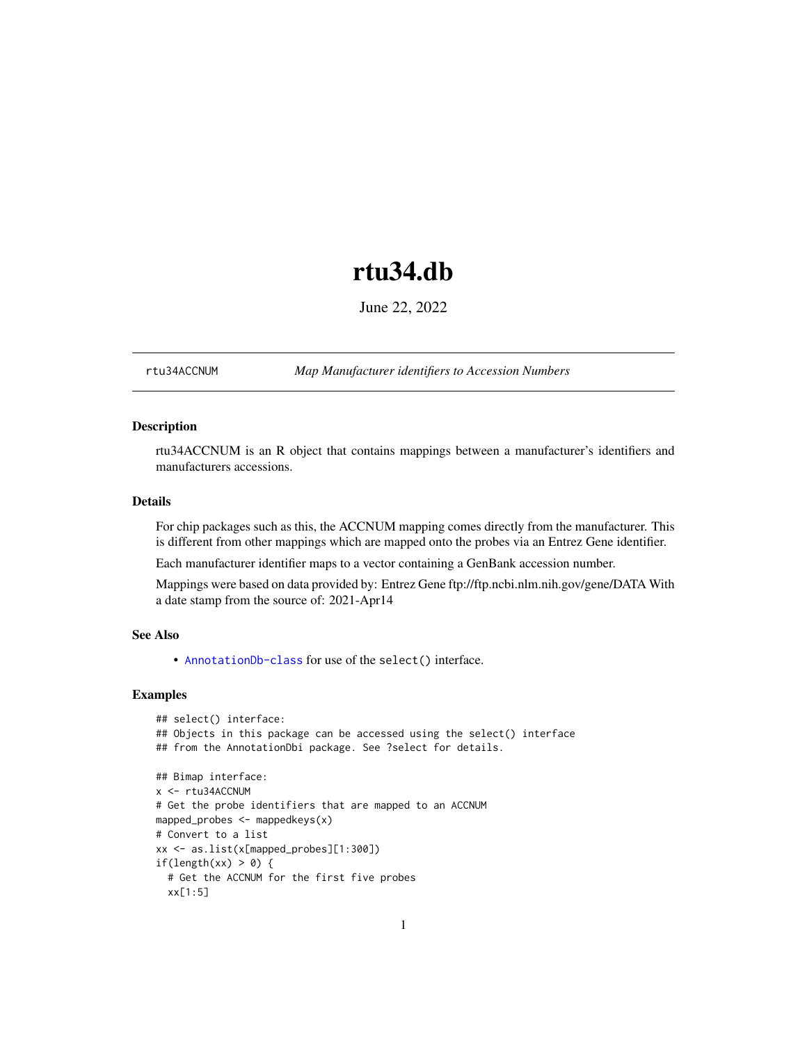# rtu34.db

June 22, 2022

<span id="page-0-1"></span><span id="page-0-0"></span>rtu34ACCNUM *Map Manufacturer identifiers to Accession Numbers*

# Description

rtu34ACCNUM is an R object that contains mappings between a manufacturer's identifiers and manufacturers accessions.

# Details

For chip packages such as this, the ACCNUM mapping comes directly from the manufacturer. This is different from other mappings which are mapped onto the probes via an Entrez Gene identifier.

Each manufacturer identifier maps to a vector containing a GenBank accession number.

Mappings were based on data provided by: Entrez Gene ftp://ftp.ncbi.nlm.nih.gov/gene/DATA With a date stamp from the source of: 2021-Apr14

# See Also

• AnnotationDb-class for use of the select() interface.

```
## select() interface:
## Objects in this package can be accessed using the select() interface
## from the AnnotationDbi package. See ?select for details.
## Bimap interface:
x <- rtu34ACCNUM
# Get the probe identifiers that are mapped to an ACCNUM
mapped_probes <- mappedkeys(x)
# Convert to a list
xx <- as.list(x[mapped_probes][1:300])
if(length(xx) > 0) {
  # Get the ACCNUM for the first five probes
  xx[1:5]
```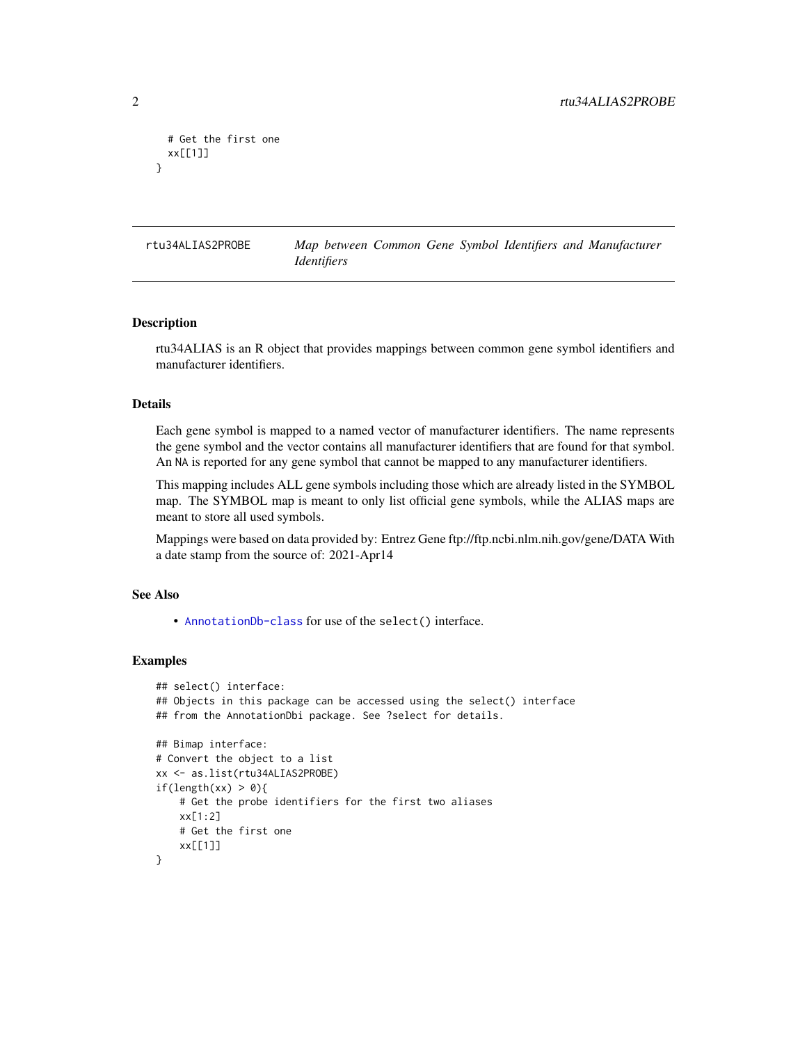```
# Get the first one
 xx[[1]]
}
```
rtu34ALIAS2PROBE *Map between Common Gene Symbol Identifiers and Manufacturer Identifiers*

#### Description

rtu34ALIAS is an R object that provides mappings between common gene symbol identifiers and manufacturer identifiers.

# Details

Each gene symbol is mapped to a named vector of manufacturer identifiers. The name represents the gene symbol and the vector contains all manufacturer identifiers that are found for that symbol. An NA is reported for any gene symbol that cannot be mapped to any manufacturer identifiers.

This mapping includes ALL gene symbols including those which are already listed in the SYMBOL map. The SYMBOL map is meant to only list official gene symbols, while the ALIAS maps are meant to store all used symbols.

Mappings were based on data provided by: Entrez Gene ftp://ftp.ncbi.nlm.nih.gov/gene/DATA With a date stamp from the source of: 2021-Apr14

# See Also

• [AnnotationDb-class](#page-0-0) for use of the select() interface.

```
## select() interface:
## Objects in this package can be accessed using the select() interface
## from the AnnotationDbi package. See ?select for details.
## Bimap interface:
# Convert the object to a list
xx <- as.list(rtu34ALIAS2PROBE)
if(length(xx) > 0){
    # Get the probe identifiers for the first two aliases
   xx[1:2]
   # Get the first one
   xx[[1]]
}
```
<span id="page-1-0"></span>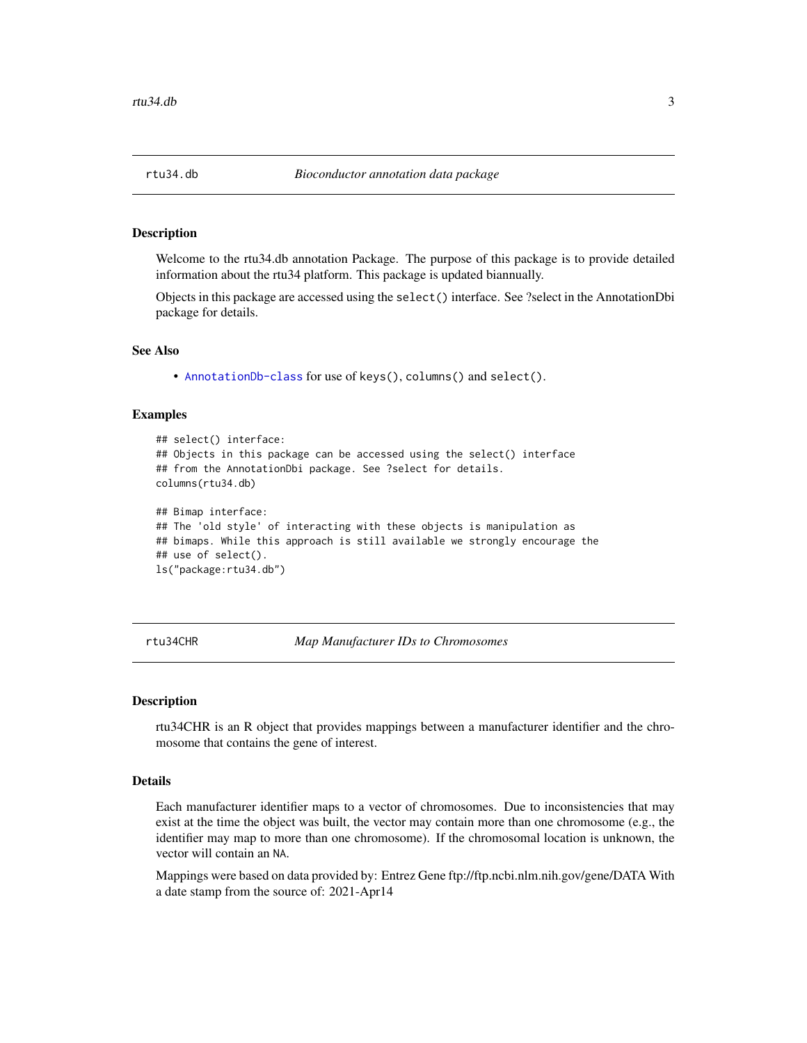<span id="page-2-0"></span>

Welcome to the rtu34.db annotation Package. The purpose of this package is to provide detailed information about the rtu34 platform. This package is updated biannually.

Objects in this package are accessed using the select() interface. See ?select in the AnnotationDbi package for details.

#### See Also

• [AnnotationDb-class](#page-0-0) for use of keys(), columns() and select().

### Examples

```
## select() interface:
## Objects in this package can be accessed using the select() interface
## from the AnnotationDbi package. See ?select for details.
columns(rtu34.db)
## Bimap interface:
## The 'old style' of interacting with these objects is manipulation as
## bimaps. While this approach is still available we strongly encourage the
## use of select().
ls("package:rtu34.db")
```
rtu34CHR *Map Manufacturer IDs to Chromosomes*

#### **Description**

rtu34CHR is an R object that provides mappings between a manufacturer identifier and the chromosome that contains the gene of interest.

# Details

Each manufacturer identifier maps to a vector of chromosomes. Due to inconsistencies that may exist at the time the object was built, the vector may contain more than one chromosome (e.g., the identifier may map to more than one chromosome). If the chromosomal location is unknown, the vector will contain an NA.

Mappings were based on data provided by: Entrez Gene ftp://ftp.ncbi.nlm.nih.gov/gene/DATA With a date stamp from the source of: 2021-Apr14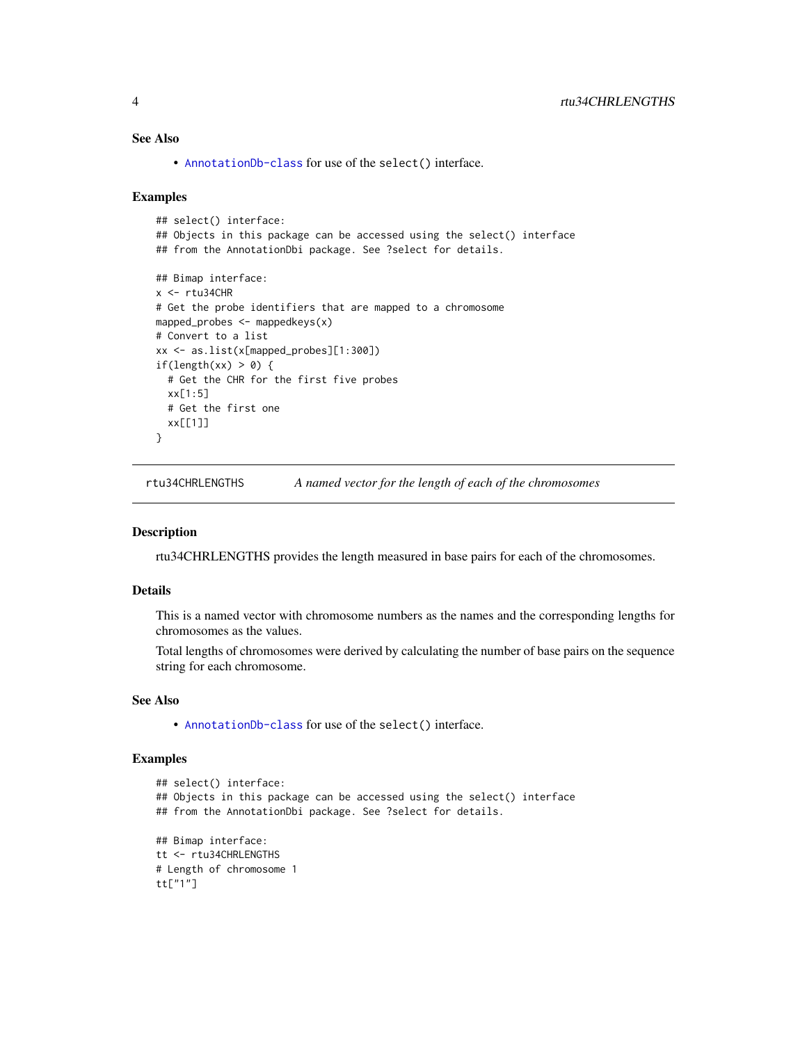# <span id="page-3-0"></span>See Also

• [AnnotationDb-class](#page-0-0) for use of the select() interface.

#### Examples

```
## select() interface:
## Objects in this package can be accessed using the select() interface
## from the AnnotationDbi package. See ?select for details.
## Bimap interface:
x < -rtu34CHR
# Get the probe identifiers that are mapped to a chromosome
mapped_probes <- mappedkeys(x)
# Convert to a list
xx <- as.list(x[mapped_probes][1:300])
if(length(xx) > 0) {
  # Get the CHR for the first five probes
  xx[1:5]
  # Get the first one
  xx[[1]]
}
```
rtu34CHRLENGTHS *A named vector for the length of each of the chromosomes*

#### Description

rtu34CHRLENGTHS provides the length measured in base pairs for each of the chromosomes.

#### Details

This is a named vector with chromosome numbers as the names and the corresponding lengths for chromosomes as the values.

Total lengths of chromosomes were derived by calculating the number of base pairs on the sequence string for each chromosome.

# See Also

• [AnnotationDb-class](#page-0-0) for use of the select() interface.

```
## select() interface:
## Objects in this package can be accessed using the select() interface
## from the AnnotationDbi package. See ?select for details.
## Bimap interface:
tt <- rtu34CHRLENGTHS
# Length of chromosome 1
tt["1"]
```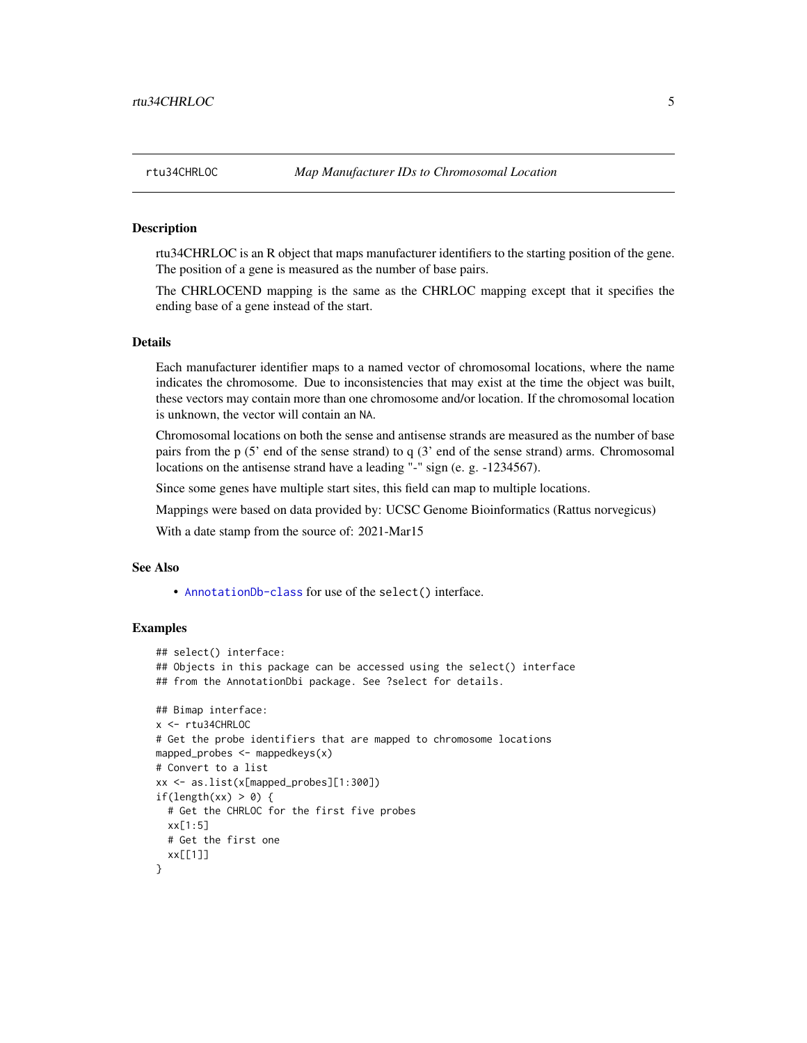rtu34CHRLOC is an R object that maps manufacturer identifiers to the starting position of the gene. The position of a gene is measured as the number of base pairs.

The CHRLOCEND mapping is the same as the CHRLOC mapping except that it specifies the ending base of a gene instead of the start.

# Details

Each manufacturer identifier maps to a named vector of chromosomal locations, where the name indicates the chromosome. Due to inconsistencies that may exist at the time the object was built, these vectors may contain more than one chromosome and/or location. If the chromosomal location is unknown, the vector will contain an NA.

Chromosomal locations on both the sense and antisense strands are measured as the number of base pairs from the p (5' end of the sense strand) to q (3' end of the sense strand) arms. Chromosomal locations on the antisense strand have a leading "-" sign (e. g. -1234567).

Since some genes have multiple start sites, this field can map to multiple locations.

Mappings were based on data provided by: UCSC Genome Bioinformatics (Rattus norvegicus)

With a date stamp from the source of: 2021-Mar15

# See Also

• [AnnotationDb-class](#page-0-0) for use of the select() interface.

```
## select() interface:
## Objects in this package can be accessed using the select() interface
## from the AnnotationDbi package. See ?select for details.
## Bimap interface:
x <- rtu34CHRLOC
# Get the probe identifiers that are mapped to chromosome locations
mapped_probes <- mappedkeys(x)
# Convert to a list
xx <- as.list(x[mapped_probes][1:300])
if(length(xx) > 0) {
 # Get the CHRLOC for the first five probes
 xx[1:5]
 # Get the first one
 xx[[1]]
}
```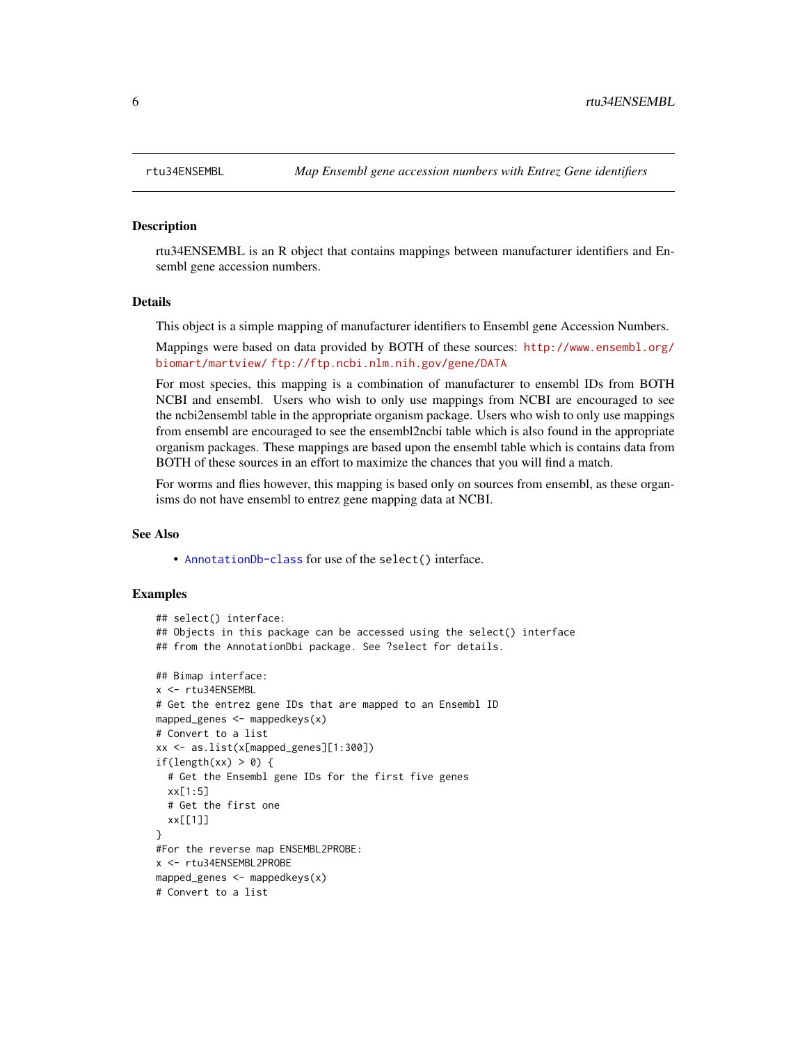rtu34ENSEMBL is an R object that contains mappings between manufacturer identifiers and Ensembl gene accession numbers.

#### Details

This object is a simple mapping of manufacturer identifiers to Ensembl gene Accession Numbers.

Mappings were based on data provided by BOTH of these sources: [http://www.ensembl.org/](http://www.ensembl.org/biomart/martview/) [biomart/martview/](http://www.ensembl.org/biomart/martview/) <ftp://ftp.ncbi.nlm.nih.gov/gene/DATA>

For most species, this mapping is a combination of manufacturer to ensembl IDs from BOTH NCBI and ensembl. Users who wish to only use mappings from NCBI are encouraged to see the ncbi2ensembl table in the appropriate organism package. Users who wish to only use mappings from ensembl are encouraged to see the ensembl2ncbi table which is also found in the appropriate organism packages. These mappings are based upon the ensembl table which is contains data from BOTH of these sources in an effort to maximize the chances that you will find a match.

For worms and flies however, this mapping is based only on sources from ensembl, as these organisms do not have ensembl to entrez gene mapping data at NCBI.

# See Also

• [AnnotationDb-class](#page-0-0) for use of the select() interface.

```
## select() interface:
## Objects in this package can be accessed using the select() interface
## from the AnnotationDbi package. See ?select for details.
## Bimap interface:
x <- rtu34ENSEMBL
# Get the entrez gene IDs that are mapped to an Ensembl ID
mapped_genes \leq mappedkeys(x)
# Convert to a list
xx <- as.list(x[mapped_genes][1:300])
if(length(xx) > 0) {
 # Get the Ensembl gene IDs for the first five genes
 xx[1:5]
 # Get the first one
 xx[[1]]
}
#For the reverse map ENSEMBL2PROBE:
x <- rtu34ENSEMBL2PROBE
mapped_genes <- mappedkeys(x)
# Convert to a list
```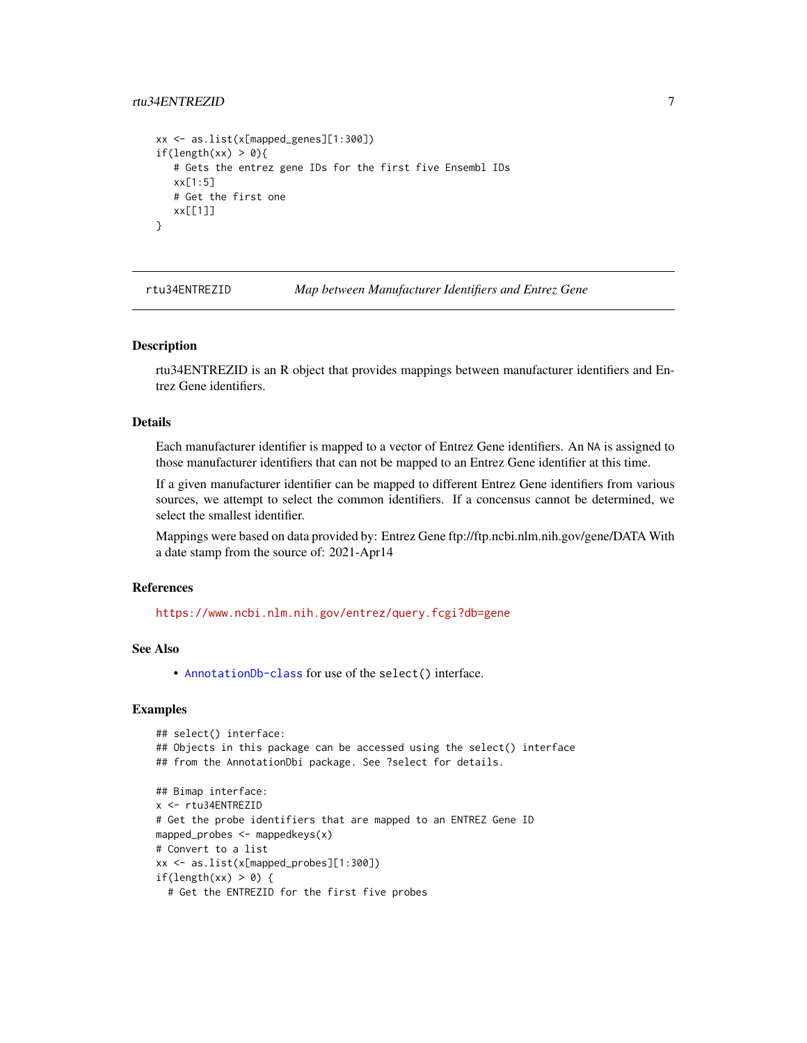# <span id="page-6-0"></span>rtu34ENTREZID 7

```
xx <- as.list(x[mapped_genes][1:300])
if(length(xx) > 0){
   # Gets the entrez gene IDs for the first five Ensembl IDs
  xx[1:5]
  # Get the first one
  xx[[1]]
}
```
rtu34ENTREZID *Map between Manufacturer Identifiers and Entrez Gene*

#### Description

rtu34ENTREZID is an R object that provides mappings between manufacturer identifiers and Entrez Gene identifiers.

# Details

Each manufacturer identifier is mapped to a vector of Entrez Gene identifiers. An NA is assigned to those manufacturer identifiers that can not be mapped to an Entrez Gene identifier at this time.

If a given manufacturer identifier can be mapped to different Entrez Gene identifiers from various sources, we attempt to select the common identifiers. If a concensus cannot be determined, we select the smallest identifier.

Mappings were based on data provided by: Entrez Gene ftp://ftp.ncbi.nlm.nih.gov/gene/DATA With a date stamp from the source of: 2021-Apr14

# References

<https://www.ncbi.nlm.nih.gov/entrez/query.fcgi?db=gene>

# See Also

• [AnnotationDb-class](#page-0-0) for use of the select() interface.

```
## select() interface:
## Objects in this package can be accessed using the select() interface
## from the AnnotationDbi package. See ?select for details.
## Bimap interface:
x <- rtu34ENTREZID
# Get the probe identifiers that are mapped to an ENTREZ Gene ID
mapped_probes <- mappedkeys(x)
# Convert to a list
xx <- as.list(x[mapped_probes][1:300])
if(length(xx) > 0) {
 # Get the ENTREZID for the first five probes
```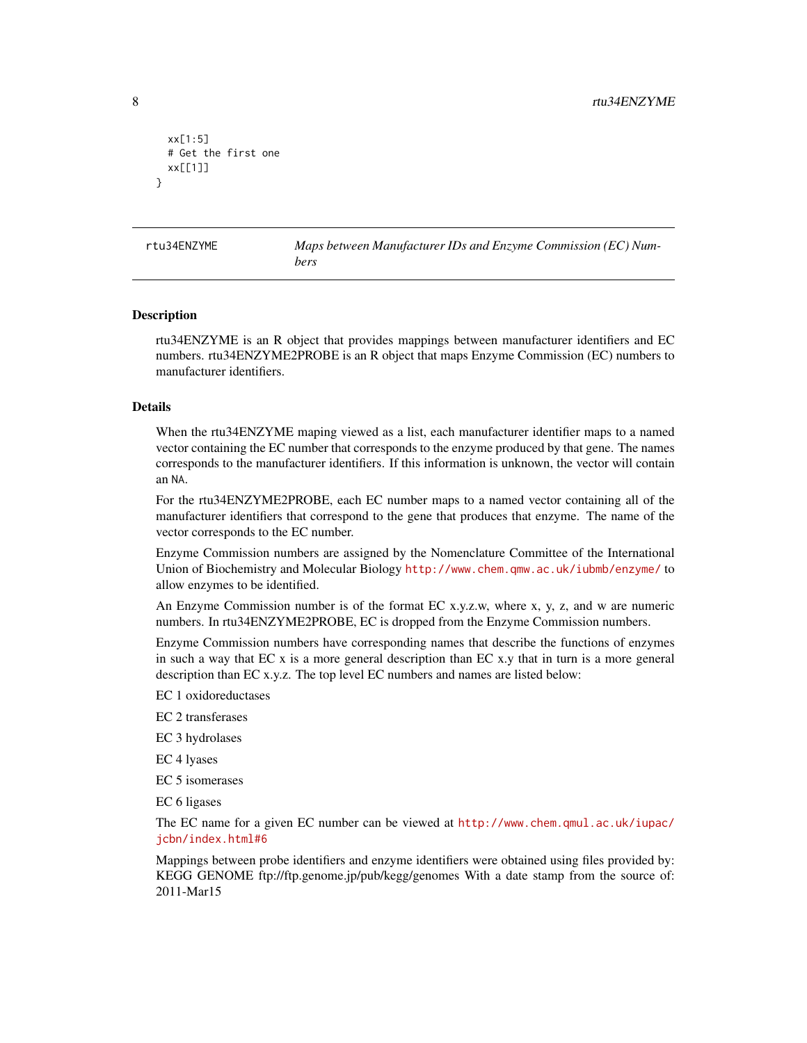```
xx[1:5]
 # Get the first one
 xx[[1]]
}
```
rtu34ENZYME *Maps between Manufacturer IDs and Enzyme Commission (EC) Numbers*

#### Description

rtu34ENZYME is an R object that provides mappings between manufacturer identifiers and EC numbers. rtu34ENZYME2PROBE is an R object that maps Enzyme Commission (EC) numbers to manufacturer identifiers.

#### Details

When the rtu34ENZYME maping viewed as a list, each manufacturer identifier maps to a named vector containing the EC number that corresponds to the enzyme produced by that gene. The names corresponds to the manufacturer identifiers. If this information is unknown, the vector will contain an NA.

For the rtu34ENZYME2PROBE, each EC number maps to a named vector containing all of the manufacturer identifiers that correspond to the gene that produces that enzyme. The name of the vector corresponds to the EC number.

Enzyme Commission numbers are assigned by the Nomenclature Committee of the International Union of Biochemistry and Molecular Biology <http://www.chem.qmw.ac.uk/iubmb/enzyme/> to allow enzymes to be identified.

An Enzyme Commission number is of the format EC x.y.z.w, where x, y, z, and w are numeric numbers. In rtu34ENZYME2PROBE, EC is dropped from the Enzyme Commission numbers.

Enzyme Commission numbers have corresponding names that describe the functions of enzymes in such a way that EC x is a more general description than EC x.y that in turn is a more general description than EC x.y.z. The top level EC numbers and names are listed below:

EC 1 oxidoreductases

EC 2 transferases

EC 3 hydrolases

EC 4 lyases

EC 5 isomerases

EC 6 ligases

The EC name for a given EC number can be viewed at [http://www.chem.qmul.ac.uk/iupac/](http://www.chem.qmul.ac.uk/iupac/jcbn/index.html#6) [jcbn/index.html#6](http://www.chem.qmul.ac.uk/iupac/jcbn/index.html#6)

Mappings between probe identifiers and enzyme identifiers were obtained using files provided by: KEGG GENOME ftp://ftp.genome.jp/pub/kegg/genomes With a date stamp from the source of: 2011-Mar15

<span id="page-7-0"></span>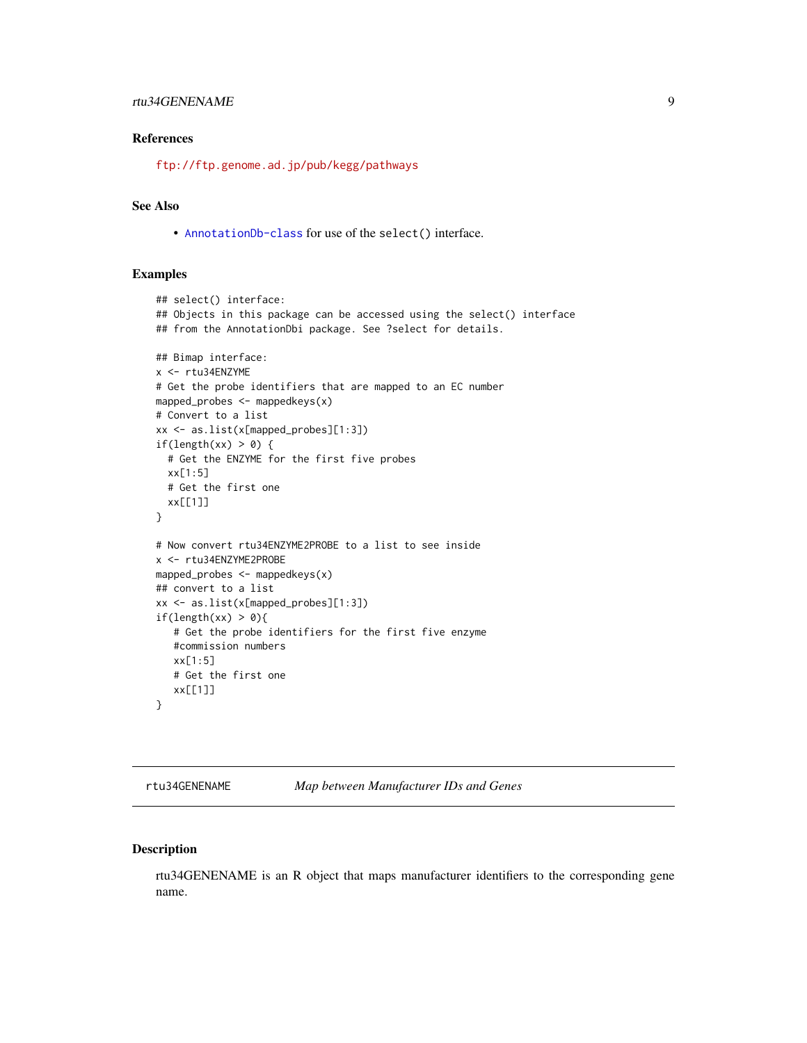# <span id="page-8-0"></span>rtu34GENENAME 9

# References

<ftp://ftp.genome.ad.jp/pub/kegg/pathways>

# See Also

• [AnnotationDb-class](#page-0-0) for use of the select() interface.

# Examples

```
## select() interface:
## Objects in this package can be accessed using the select() interface
## from the AnnotationDbi package. See ?select for details.
## Bimap interface:
x <- rtu34ENZYME
# Get the probe identifiers that are mapped to an EC number
mapped_probes <- mappedkeys(x)
# Convert to a list
xx <- as.list(x[mapped_probes][1:3])
if(length(xx) > 0) {
  # Get the ENZYME for the first five probes
  xx[1:5]
  # Get the first one
  xx[[1]]
}
# Now convert rtu34ENZYME2PROBE to a list to see inside
x <- rtu34ENZYME2PROBE
mapped_probes \leq mappedkeys(x)
## convert to a list
xx <- as.list(x[mapped_probes][1:3])
if(length(xx) > 0){
   # Get the probe identifiers for the first five enzyme
   #commission numbers
   xx[1:5]
   # Get the first one
  xx[[1]]
}
```
rtu34GENENAME *Map between Manufacturer IDs and Genes*

# Description

rtu34GENENAME is an R object that maps manufacturer identifiers to the corresponding gene name.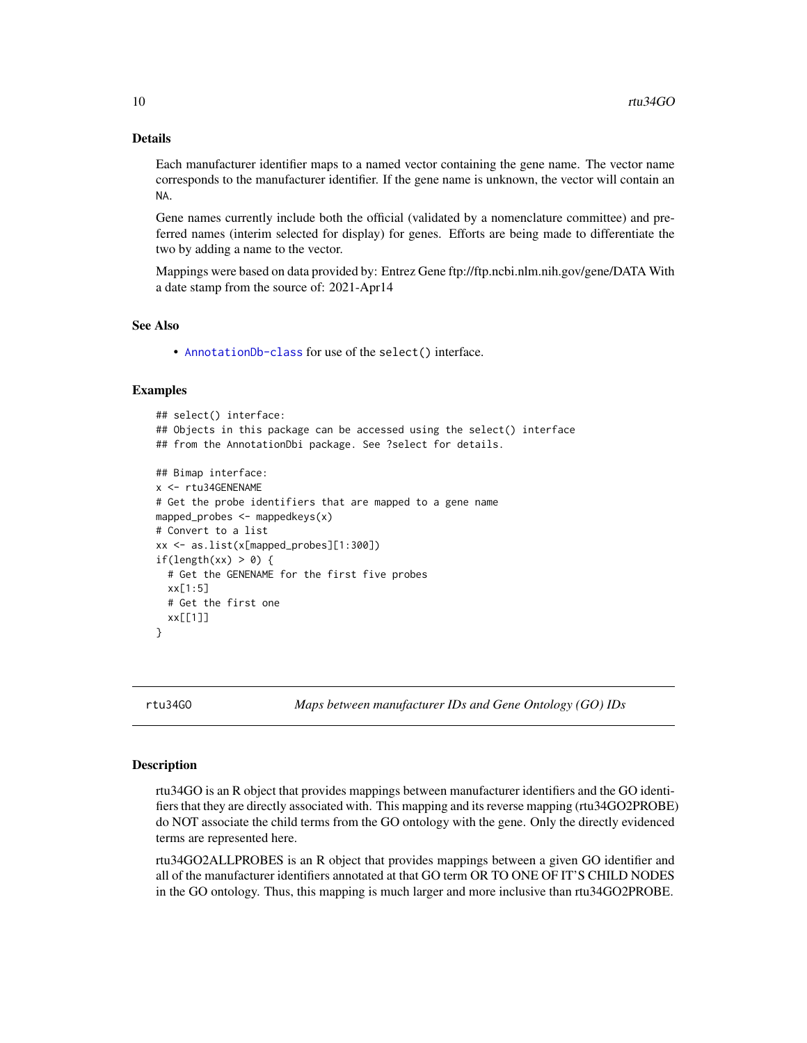# <span id="page-9-1"></span>Details

Each manufacturer identifier maps to a named vector containing the gene name. The vector name corresponds to the manufacturer identifier. If the gene name is unknown, the vector will contain an NA.

Gene names currently include both the official (validated by a nomenclature committee) and preferred names (interim selected for display) for genes. Efforts are being made to differentiate the two by adding a name to the vector.

Mappings were based on data provided by: Entrez Gene ftp://ftp.ncbi.nlm.nih.gov/gene/DATA With a date stamp from the source of: 2021-Apr14

## See Also

• [AnnotationDb-class](#page-0-0) for use of the select() interface.

#### Examples

```
## select() interface:
## Objects in this package can be accessed using the select() interface
## from the AnnotationDbi package. See ?select for details.
## Bimap interface:
x <- rtu34GENENAME
# Get the probe identifiers that are mapped to a gene name
mapped_probes <- mappedkeys(x)
# Convert to a list
xx <- as.list(x[mapped_probes][1:300])
if(length(xx) > 0) {
 # Get the GENENAME for the first five probes
 xx[1:5]
 # Get the first one
 xx[[1]]
}
```
rtu34GO *Maps between manufacturer IDs and Gene Ontology (GO) IDs*

#### <span id="page-9-0"></span>Description

rtu34GO is an R object that provides mappings between manufacturer identifiers and the GO identifiers that they are directly associated with. This mapping and its reverse mapping (rtu34GO2PROBE) do NOT associate the child terms from the GO ontology with the gene. Only the directly evidenced terms are represented here.

rtu34GO2ALLPROBES is an R object that provides mappings between a given GO identifier and all of the manufacturer identifiers annotated at that GO term OR TO ONE OF IT'S CHILD NODES in the GO ontology. Thus, this mapping is much larger and more inclusive than rtu34GO2PROBE.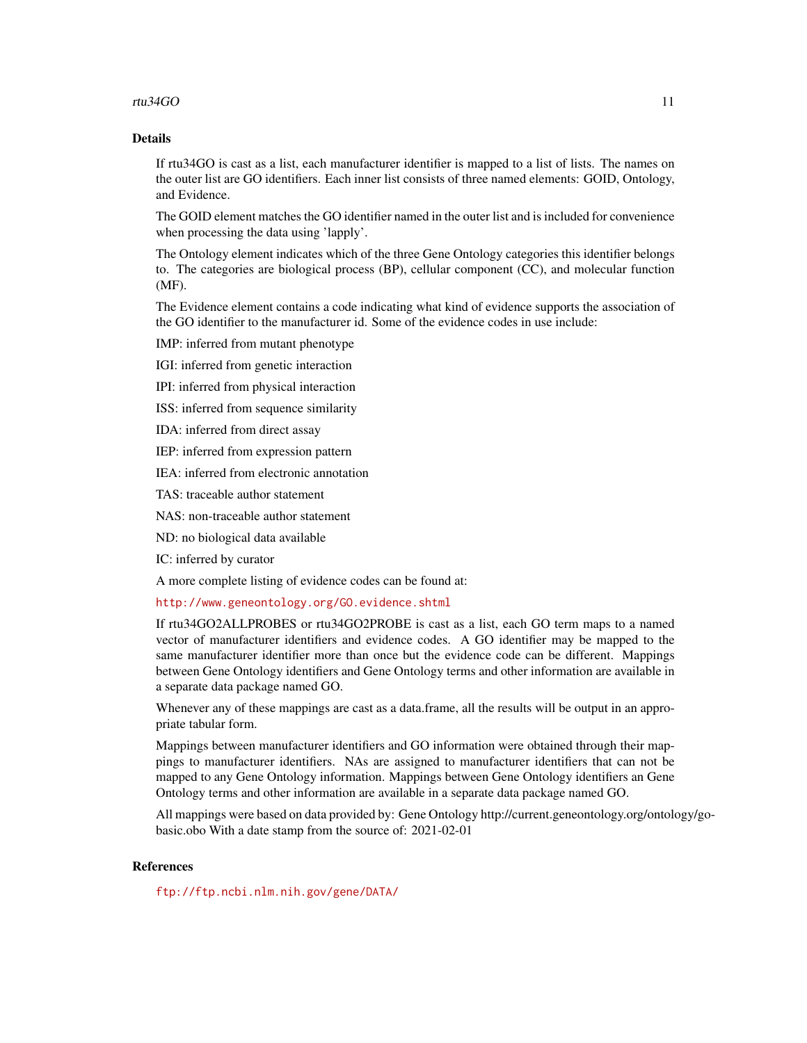### rtu $34G$ O 11

# Details

If rtu34GO is cast as a list, each manufacturer identifier is mapped to a list of lists. The names on the outer list are GO identifiers. Each inner list consists of three named elements: GOID, Ontology, and Evidence.

The GOID element matches the GO identifier named in the outer list and is included for convenience when processing the data using 'lapply'.

The Ontology element indicates which of the three Gene Ontology categories this identifier belongs to. The categories are biological process (BP), cellular component (CC), and molecular function (MF).

The Evidence element contains a code indicating what kind of evidence supports the association of the GO identifier to the manufacturer id. Some of the evidence codes in use include:

IMP: inferred from mutant phenotype

IGI: inferred from genetic interaction

IPI: inferred from physical interaction

ISS: inferred from sequence similarity

IDA: inferred from direct assay

IEP: inferred from expression pattern

IEA: inferred from electronic annotation

TAS: traceable author statement

NAS: non-traceable author statement

ND: no biological data available

IC: inferred by curator

A more complete listing of evidence codes can be found at:

<http://www.geneontology.org/GO.evidence.shtml>

If rtu34GO2ALLPROBES or rtu34GO2PROBE is cast as a list, each GO term maps to a named vector of manufacturer identifiers and evidence codes. A GO identifier may be mapped to the same manufacturer identifier more than once but the evidence code can be different. Mappings between Gene Ontology identifiers and Gene Ontology terms and other information are available in a separate data package named GO.

Whenever any of these mappings are cast as a data.frame, all the results will be output in an appropriate tabular form.

Mappings between manufacturer identifiers and GO information were obtained through their mappings to manufacturer identifiers. NAs are assigned to manufacturer identifiers that can not be mapped to any Gene Ontology information. Mappings between Gene Ontology identifiers an Gene Ontology terms and other information are available in a separate data package named GO.

All mappings were based on data provided by: Gene Ontology http://current.geneontology.org/ontology/gobasic.obo With a date stamp from the source of: 2021-02-01

# References

<ftp://ftp.ncbi.nlm.nih.gov/gene/DATA/>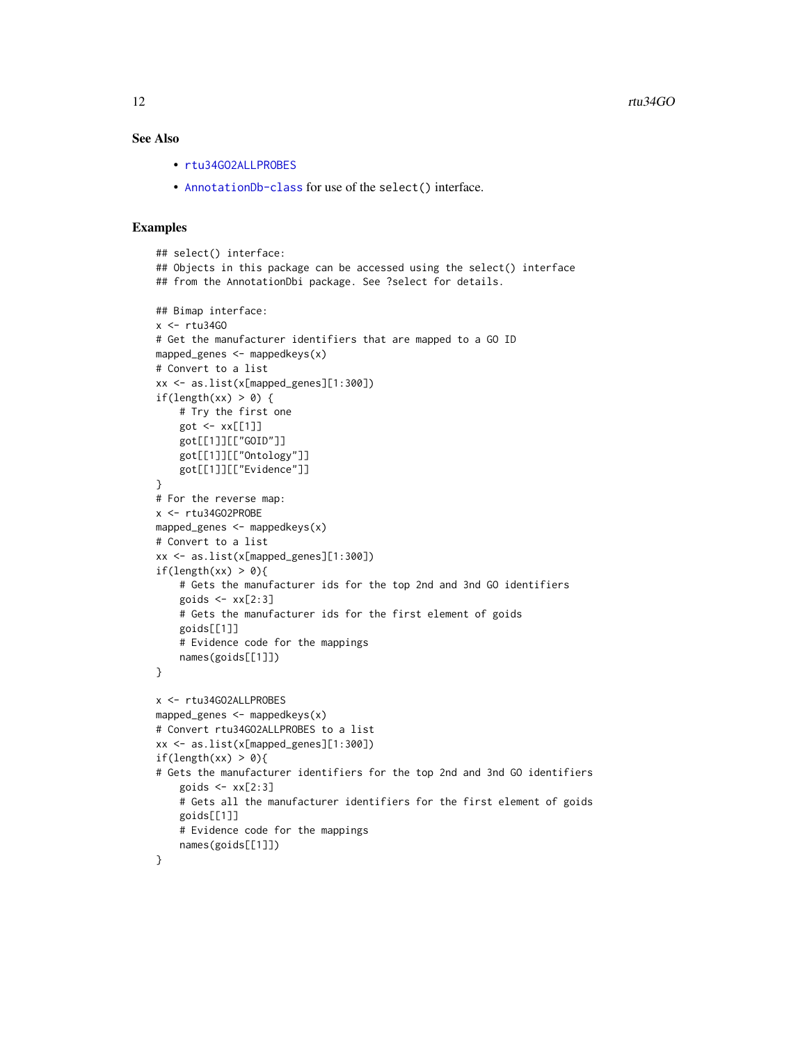# <span id="page-11-0"></span>See Also

- [rtu34GO2ALLPROBES](#page-9-0)
- [AnnotationDb-class](#page-0-0) for use of the select() interface.

```
## select() interface:
## Objects in this package can be accessed using the select() interface
## from the AnnotationDbi package. See ?select for details.
## Bimap interface:
x <- rtu34GO
# Get the manufacturer identifiers that are mapped to a GO ID
mapped_genes <- mappedkeys(x)
# Convert to a list
xx <- as.list(x[mapped_genes][1:300])
if(length(xx) > 0) {
    # Try the first one
   got \leq -xx[[1]]got[[1]][["GOID"]]
    got[[1]][["Ontology"]]
    got[[1]][["Evidence"]]
}
# For the reverse map:
x <- rtu34GO2PROBE
mapped_genes <- mappedkeys(x)
# Convert to a list
xx <- as.list(x[mapped_genes][1:300])
if(length(xx) > 0){
    # Gets the manufacturer ids for the top 2nd and 3nd GO identifiers
    goids \leq -x \times [2:3]# Gets the manufacturer ids for the first element of goids
    goids[[1]]
    # Evidence code for the mappings
   names(goids[[1]])
}
x <- rtu34GO2ALLPROBES
mapped_genes <- mappedkeys(x)
# Convert rtu34GO2ALLPROBES to a list
xx <- as.list(x[mapped_genes][1:300])
if(length(xx) > 0){
# Gets the manufacturer identifiers for the top 2nd and 3nd GO identifiers
    goids \leq -x \times [2:3]# Gets all the manufacturer identifiers for the first element of goids
   goids[[1]]
    # Evidence code for the mappings
   names(goids[[1]])
}
```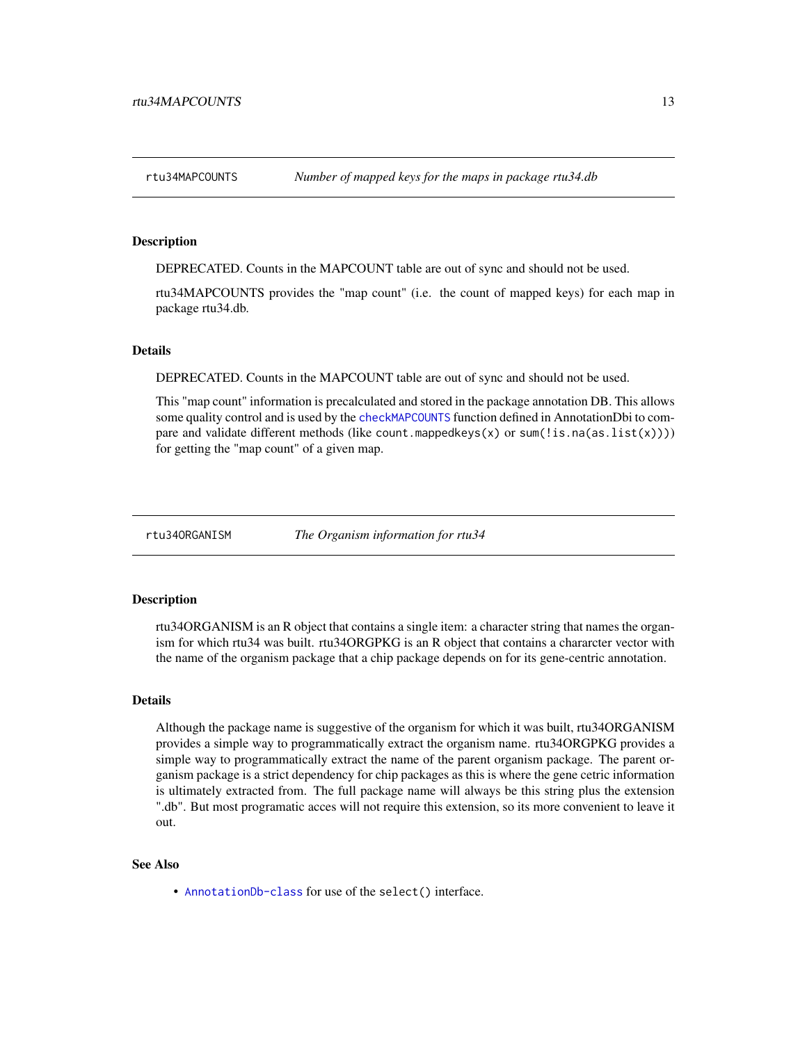<span id="page-12-0"></span>DEPRECATED. Counts in the MAPCOUNT table are out of sync and should not be used.

rtu34MAPCOUNTS provides the "map count" (i.e. the count of mapped keys) for each map in package rtu34.db.

#### Details

DEPRECATED. Counts in the MAPCOUNT table are out of sync and should not be used.

This "map count" information is precalculated and stored in the package annotation DB. This allows some quality control and is used by the [checkMAPCOUNTS](#page-0-0) function defined in AnnotationDbi to compare and validate different methods (like count.mappedkeys(x) or sum(!is.na(as.list(x)))) for getting the "map count" of a given map.

rtu34ORGANISM *The Organism information for rtu34*

#### Description

rtu34ORGANISM is an R object that contains a single item: a character string that names the organism for which rtu34 was built. rtu34ORGPKG is an R object that contains a chararcter vector with the name of the organism package that a chip package depends on for its gene-centric annotation.

#### Details

Although the package name is suggestive of the organism for which it was built, rtu34ORGANISM provides a simple way to programmatically extract the organism name. rtu34ORGPKG provides a simple way to programmatically extract the name of the parent organism package. The parent organism package is a strict dependency for chip packages as this is where the gene cetric information is ultimately extracted from. The full package name will always be this string plus the extension ".db". But most programatic acces will not require this extension, so its more convenient to leave it out.

# See Also

• [AnnotationDb-class](#page-0-0) for use of the select() interface.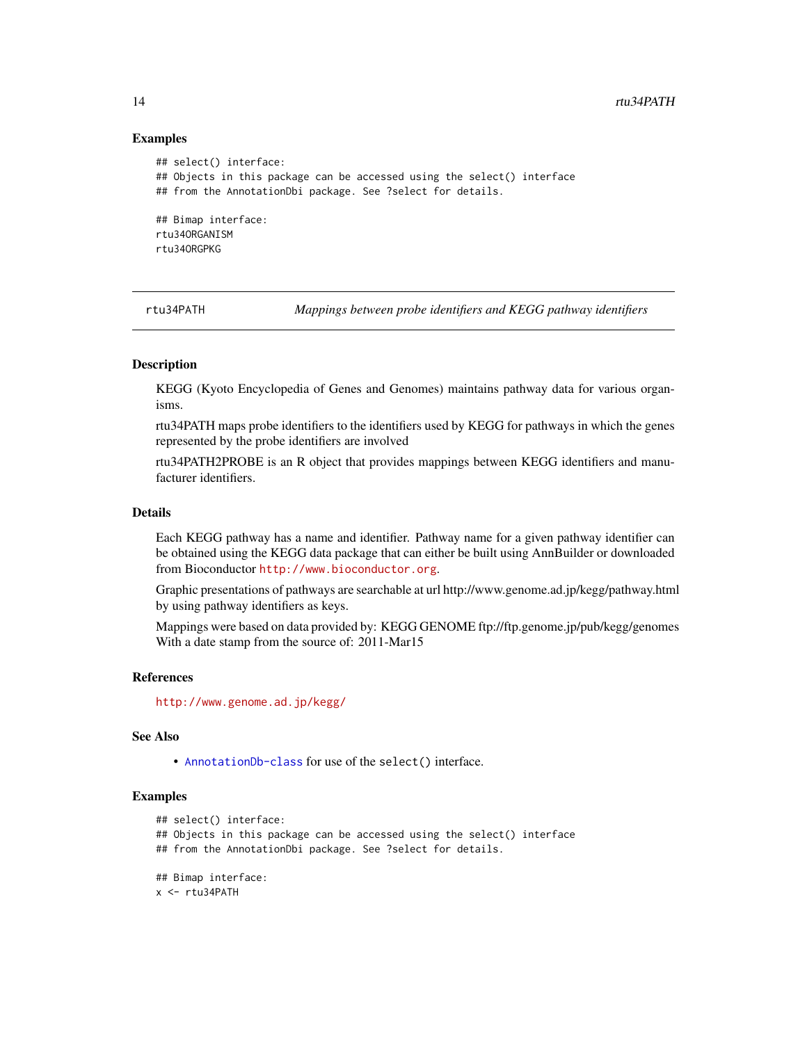## Examples

```
## select() interface:
## Objects in this package can be accessed using the select() interface
## from the AnnotationDbi package. See ?select for details.
## Bimap interface:
rtu34ORGANISM
rtu34ORGPKG
```
rtu34PATH *Mappings between probe identifiers and KEGG pathway identifiers*

# Description

KEGG (Kyoto Encyclopedia of Genes and Genomes) maintains pathway data for various organisms.

rtu34PATH maps probe identifiers to the identifiers used by KEGG for pathways in which the genes represented by the probe identifiers are involved

rtu34PATH2PROBE is an R object that provides mappings between KEGG identifiers and manufacturer identifiers.

# Details

Each KEGG pathway has a name and identifier. Pathway name for a given pathway identifier can be obtained using the KEGG data package that can either be built using AnnBuilder or downloaded from Bioconductor <http://www.bioconductor.org>.

Graphic presentations of pathways are searchable at url http://www.genome.ad.jp/kegg/pathway.html by using pathway identifiers as keys.

Mappings were based on data provided by: KEGG GENOME ftp://ftp.genome.jp/pub/kegg/genomes With a date stamp from the source of: 2011-Mar15

#### References

<http://www.genome.ad.jp/kegg/>

# See Also

• [AnnotationDb-class](#page-0-0) for use of the select() interface.

```
## select() interface:
## Objects in this package can be accessed using the select() interface
## from the AnnotationDbi package. See ?select for details.
## Bimap interface:
x <- rtu34PATH
```
<span id="page-13-0"></span>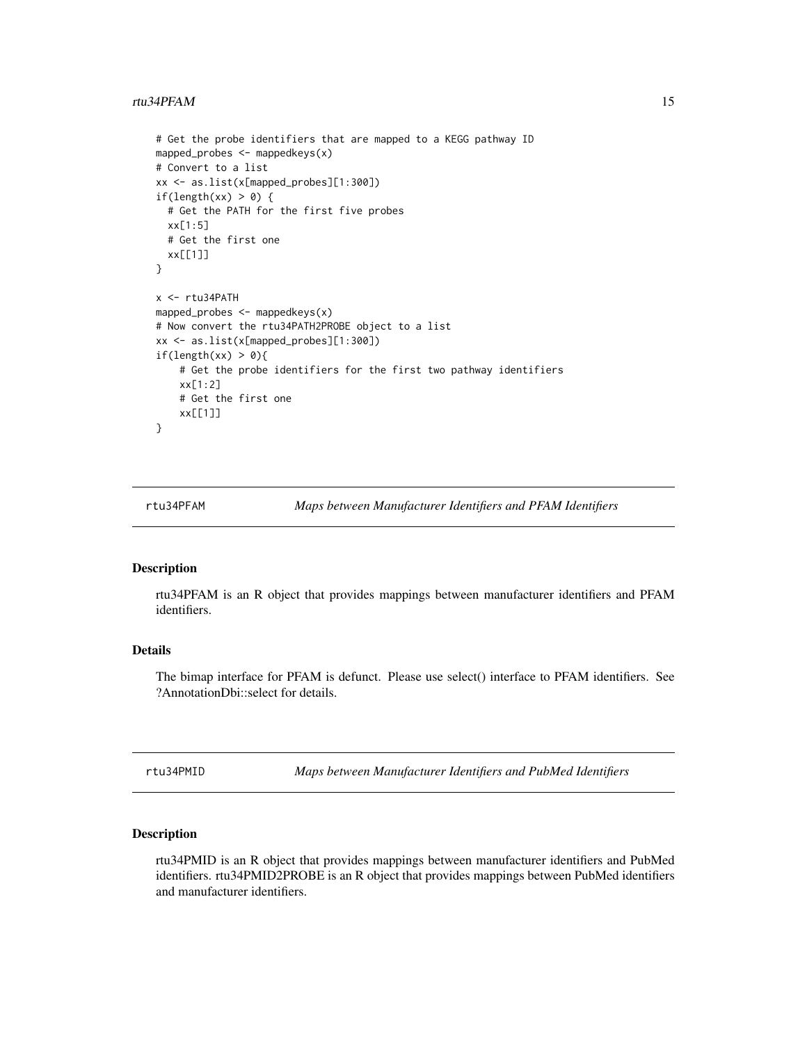#### <span id="page-14-0"></span>rtu34PFAM 15

```
# Get the probe identifiers that are mapped to a KEGG pathway ID
mapped_probes <- mappedkeys(x)
# Convert to a list
xx <- as.list(x[mapped_probes][1:300])
if(length(xx) > 0) {
 # Get the PATH for the first five probes
 xx[1:5]
 # Get the first one
 xx[[1]]
}
x <- rtu34PATH
mapped_probes <- mappedkeys(x)
# Now convert the rtu34PATH2PROBE object to a list
xx <- as.list(x[mapped_probes][1:300])
if(length(xx) > 0){
    # Get the probe identifiers for the first two pathway identifiers
   xx[1:2]
    # Get the first one
   xx[[1]]
}
```
rtu34PFAM *Maps between Manufacturer Identifiers and PFAM Identifiers*

#### Description

rtu34PFAM is an R object that provides mappings between manufacturer identifiers and PFAM identifiers.

# Details

The bimap interface for PFAM is defunct. Please use select() interface to PFAM identifiers. See ?AnnotationDbi::select for details.

rtu34PMID *Maps between Manufacturer Identifiers and PubMed Identifiers*

#### Description

rtu34PMID is an R object that provides mappings between manufacturer identifiers and PubMed identifiers. rtu34PMID2PROBE is an R object that provides mappings between PubMed identifiers and manufacturer identifiers.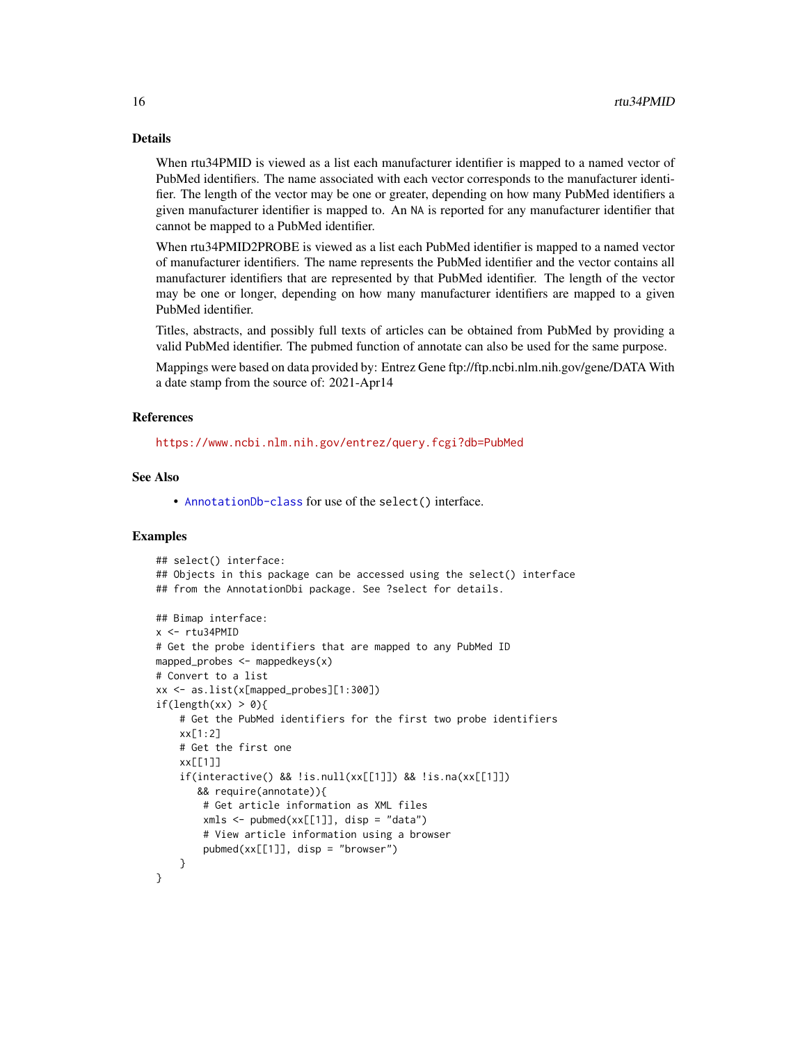# Details

When rtu34PMID is viewed as a list each manufacturer identifier is mapped to a named vector of PubMed identifiers. The name associated with each vector corresponds to the manufacturer identifier. The length of the vector may be one or greater, depending on how many PubMed identifiers a given manufacturer identifier is mapped to. An NA is reported for any manufacturer identifier that cannot be mapped to a PubMed identifier.

When rtu34PMID2PROBE is viewed as a list each PubMed identifier is mapped to a named vector of manufacturer identifiers. The name represents the PubMed identifier and the vector contains all manufacturer identifiers that are represented by that PubMed identifier. The length of the vector may be one or longer, depending on how many manufacturer identifiers are mapped to a given PubMed identifier.

Titles, abstracts, and possibly full texts of articles can be obtained from PubMed by providing a valid PubMed identifier. The pubmed function of annotate can also be used for the same purpose.

Mappings were based on data provided by: Entrez Gene ftp://ftp.ncbi.nlm.nih.gov/gene/DATA With a date stamp from the source of: 2021-Apr14

#### References

<https://www.ncbi.nlm.nih.gov/entrez/query.fcgi?db=PubMed>

# See Also

• [AnnotationDb-class](#page-0-0) for use of the select() interface.

```
## select() interface:
## Objects in this package can be accessed using the select() interface
## from the AnnotationDbi package. See ?select for details.
## Bimap interface:
x <- rtu34PMID
# Get the probe identifiers that are mapped to any PubMed ID
mapped_probes \leq mappedkeys(x)
# Convert to a list
xx <- as.list(x[mapped_probes][1:300])
if(length(xx) > 0)# Get the PubMed identifiers for the first two probe identifiers
    xx[1:2]
    # Get the first one
    xx[[1]]
    if(interactive() && !is.null(xx[[1]]) && !is.na(xx[[1]])
       && require(annotate)){
        # Get article information as XML files
        xmls < -pubmed(xx[[1]], disp = "data")# View article information using a browser
        pubmed(xx[[1]], disp = "browser")
    }
}
```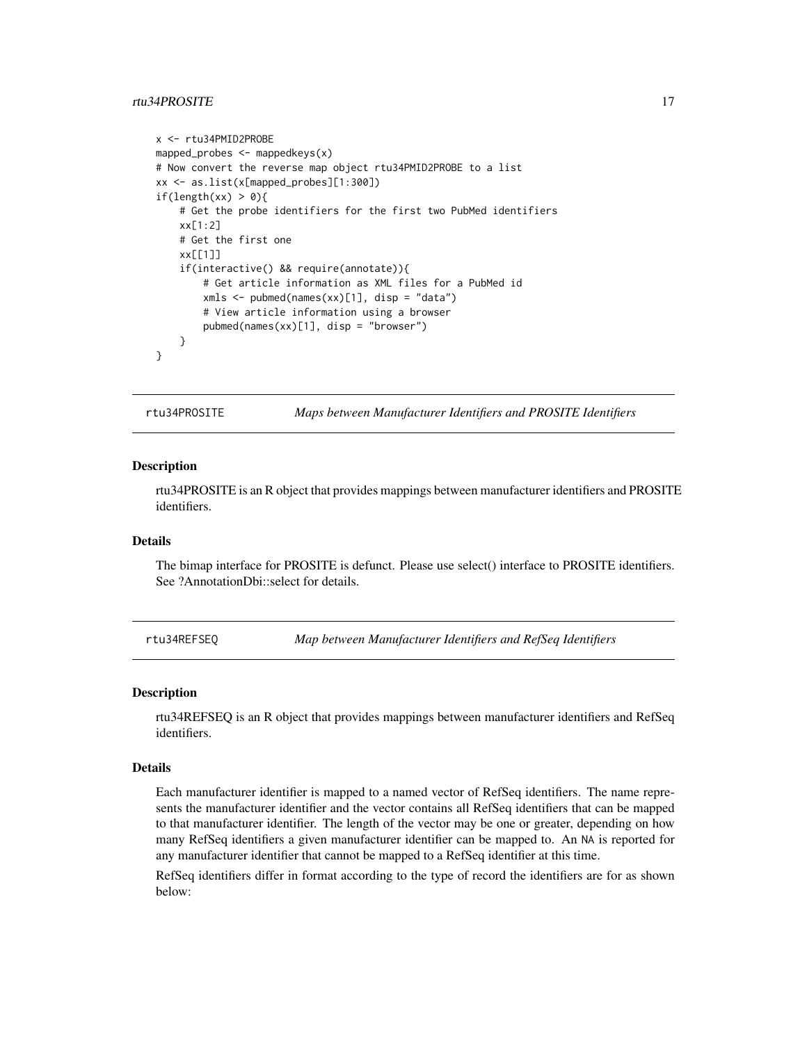# <span id="page-16-0"></span>rtu34PROSITE 17

```
x <- rtu34PMID2PROBE
mapped_probes <- mappedkeys(x)
# Now convert the reverse map object rtu34PMID2PROBE to a list
xx <- as.list(x[mapped_probes][1:300])
if(length(xx) > 0){
    # Get the probe identifiers for the first two PubMed identifiers
    xx[1:2]
    # Get the first one
   xx[[1]]
    if(interactive() && require(annotate)){
       # Get article information as XML files for a PubMed id
       xmls <- pubmed(names(xx)[1], disp = "data")
       # View article information using a browser
       pubmed(names(xx)[1], disp = "browser")
   }
}
```
rtu34PROSITE *Maps between Manufacturer Identifiers and PROSITE Identifiers*

#### **Description**

rtu34PROSITE is an R object that provides mappings between manufacturer identifiers and PROSITE identifiers.

# Details

The bimap interface for PROSITE is defunct. Please use select() interface to PROSITE identifiers. See ?AnnotationDbi::select for details.

rtu34REFSEQ *Map between Manufacturer Identifiers and RefSeq Identifiers*

#### Description

rtu34REFSEQ is an R object that provides mappings between manufacturer identifiers and RefSeq identifiers.

#### Details

Each manufacturer identifier is mapped to a named vector of RefSeq identifiers. The name represents the manufacturer identifier and the vector contains all RefSeq identifiers that can be mapped to that manufacturer identifier. The length of the vector may be one or greater, depending on how many RefSeq identifiers a given manufacturer identifier can be mapped to. An NA is reported for any manufacturer identifier that cannot be mapped to a RefSeq identifier at this time.

RefSeq identifiers differ in format according to the type of record the identifiers are for as shown below: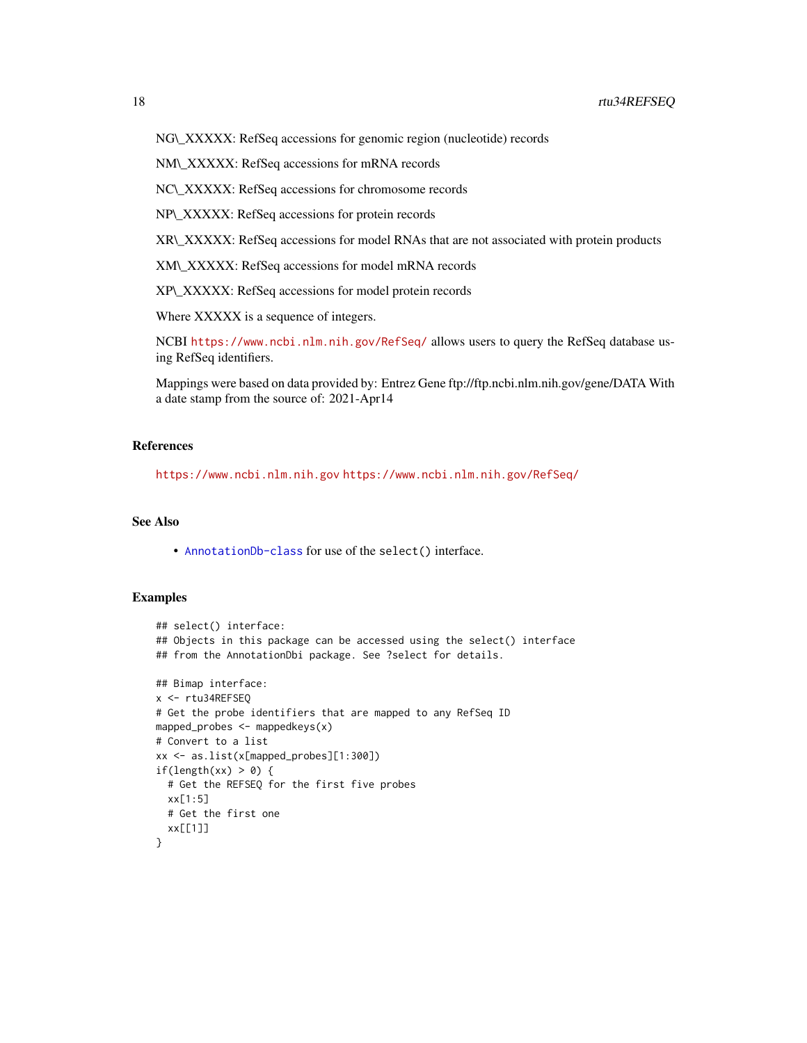NG\\_XXXXX: RefSeq accessions for genomic region (nucleotide) records

NM\\_XXXXX: RefSeq accessions for mRNA records

NC\\_XXXXX: RefSeq accessions for chromosome records

NP\\_XXXXX: RefSeq accessions for protein records

XR\\_XXXXX: RefSeq accessions for model RNAs that are not associated with protein products

XM\\_XXXXX: RefSeq accessions for model mRNA records

XP\\_XXXXX: RefSeq accessions for model protein records

Where XXXXX is a sequence of integers.

NCBI <https://www.ncbi.nlm.nih.gov/RefSeq/> allows users to query the RefSeq database using RefSeq identifiers.

Mappings were based on data provided by: Entrez Gene ftp://ftp.ncbi.nlm.nih.gov/gene/DATA With a date stamp from the source of: 2021-Apr14

# References

<https://www.ncbi.nlm.nih.gov> <https://www.ncbi.nlm.nih.gov/RefSeq/>

# See Also

• [AnnotationDb-class](#page-0-0) for use of the select() interface.

```
## select() interface:
## Objects in this package can be accessed using the select() interface
## from the AnnotationDbi package. See ?select for details.
## Bimap interface:
x <- rtu34REFSEQ
# Get the probe identifiers that are mapped to any RefSeq ID
mapped_probes \leq mappedkeys(x)
# Convert to a list
xx <- as.list(x[mapped_probes][1:300])
if(length(xx) > \theta) {
  # Get the REFSEQ for the first five probes
  xx[1:5]
  # Get the first one
  xx[[1]]
}
```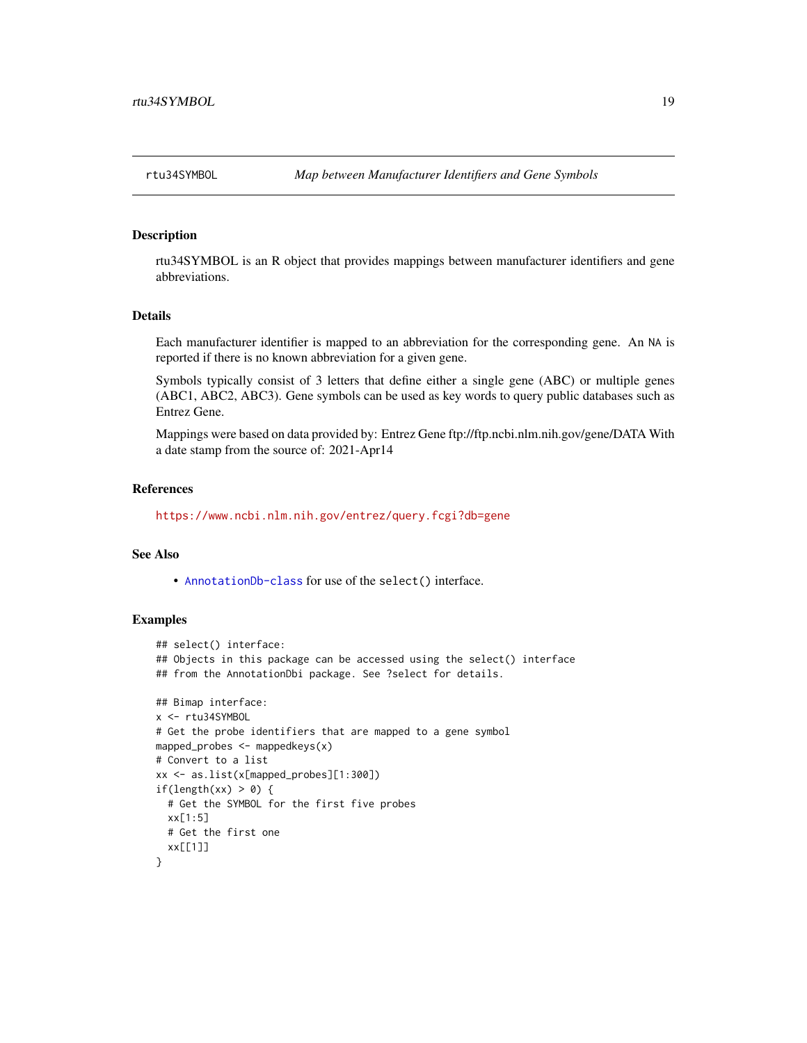<span id="page-18-0"></span>

rtu34SYMBOL is an R object that provides mappings between manufacturer identifiers and gene abbreviations.

# Details

Each manufacturer identifier is mapped to an abbreviation for the corresponding gene. An NA is reported if there is no known abbreviation for a given gene.

Symbols typically consist of 3 letters that define either a single gene (ABC) or multiple genes (ABC1, ABC2, ABC3). Gene symbols can be used as key words to query public databases such as Entrez Gene.

Mappings were based on data provided by: Entrez Gene ftp://ftp.ncbi.nlm.nih.gov/gene/DATA With a date stamp from the source of: 2021-Apr14

#### References

<https://www.ncbi.nlm.nih.gov/entrez/query.fcgi?db=gene>

#### See Also

• [AnnotationDb-class](#page-0-0) for use of the select() interface.

```
## select() interface:
## Objects in this package can be accessed using the select() interface
## from the AnnotationDbi package. See ?select for details.
## Bimap interface:
x <- rtu34SYMBOL
# Get the probe identifiers that are mapped to a gene symbol
mapped_probes <- mappedkeys(x)
# Convert to a list
xx <- as.list(x[mapped_probes][1:300])
if(length(xx) > 0) {
  # Get the SYMBOL for the first five probes
  xx[1:5]
  # Get the first one
  xx[[1]]
}
```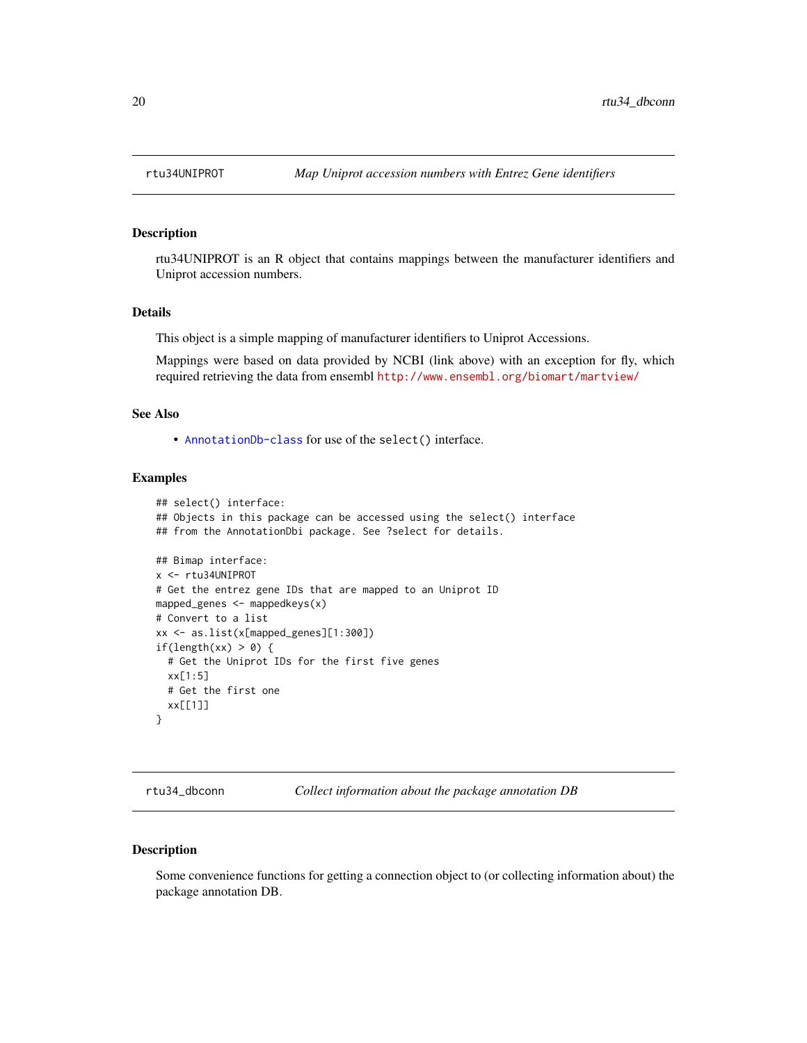rtu34UNIPROT is an R object that contains mappings between the manufacturer identifiers and Uniprot accession numbers.

#### Details

This object is a simple mapping of manufacturer identifiers to Uniprot Accessions.

Mappings were based on data provided by NCBI (link above) with an exception for fly, which required retrieving the data from ensembl <http://www.ensembl.org/biomart/martview/>

# See Also

• [AnnotationDb-class](#page-0-0) for use of the select() interface.

# Examples

```
## select() interface:
## Objects in this package can be accessed using the select() interface
## from the AnnotationDbi package. See ?select for details.
## Bimap interface:
x <- rtu34UNIPROT
# Get the entrez gene IDs that are mapped to an Uniprot ID
mapped_genes <- mappedkeys(x)
# Convert to a list
xx <- as.list(x[mapped_genes][1:300])
if(length(xx) > 0) {
  # Get the Uniprot IDs for the first five genes
  xx[1:5]
  # Get the first one
  xx[[1]]
}
```
rtu34\_dbconn *Collect information about the package annotation DB*

#### Description

Some convenience functions for getting a connection object to (or collecting information about) the package annotation DB.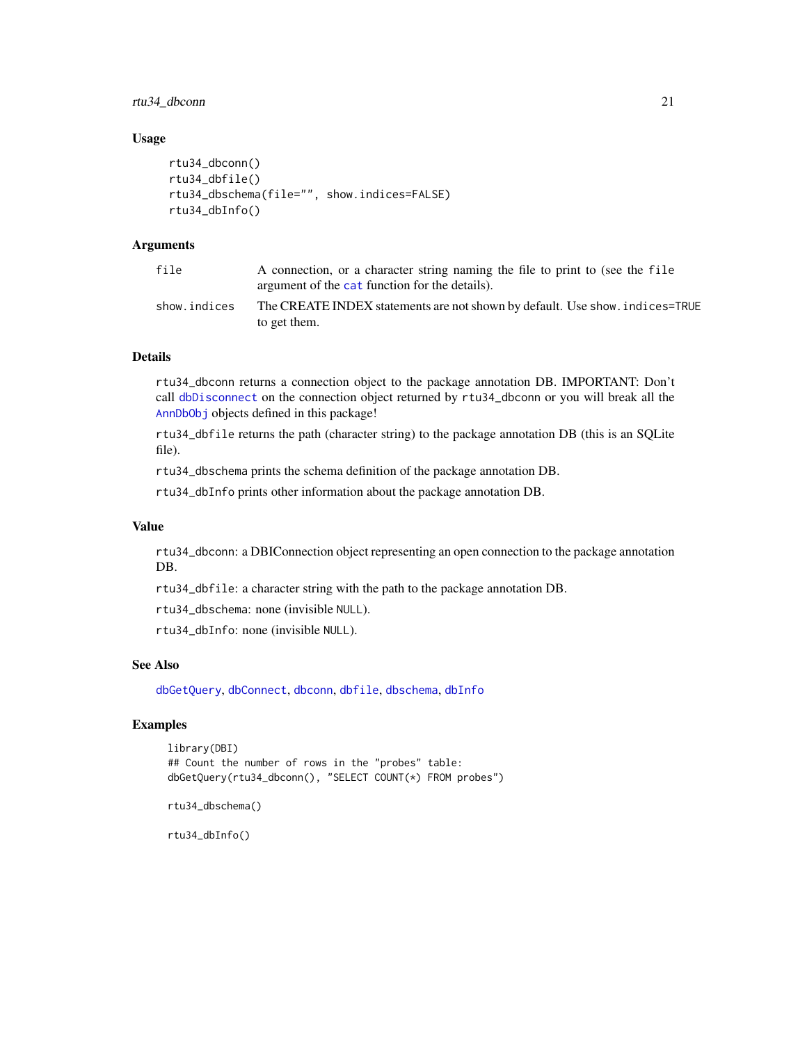# <span id="page-20-0"></span>rtu34\_dbconn 21

## Usage

```
rtu34_dbconn()
rtu34_dbfile()
rtu34_dbschema(file="", show.indices=FALSE)
rtu34_dbInfo()
```
# Arguments

| file         | A connection, or a character string naming the file to print to (see the file<br>argument of the cat function for the details). |
|--------------|---------------------------------------------------------------------------------------------------------------------------------|
| show.indices | The CREATE INDEX statements are not shown by default. Use show, indices=TRUE<br>to get them.                                    |

# Details

rtu34\_dbconn returns a connection object to the package annotation DB. IMPORTANT: Don't call [dbDisconnect](#page-0-0) on the connection object returned by rtu34\_dbconn or you will break all the [AnnDbObj](#page-0-0) objects defined in this package!

rtu34\_dbfile returns the path (character string) to the package annotation DB (this is an SQLite file).

rtu34\_dbschema prints the schema definition of the package annotation DB.

rtu34\_dbInfo prints other information about the package annotation DB.

### Value

rtu34\_dbconn: a DBIConnection object representing an open connection to the package annotation DB.

rtu34\_dbfile: a character string with the path to the package annotation DB.

rtu34\_dbschema: none (invisible NULL).

rtu34\_dbInfo: none (invisible NULL).

# See Also

[dbGetQuery](#page-0-0), [dbConnect](#page-0-0), [dbconn](#page-0-0), [dbfile](#page-0-0), [dbschema](#page-0-0), [dbInfo](#page-0-0)

# Examples

```
library(DBI)
## Count the number of rows in the "probes" table:
dbGetQuery(rtu34_dbconn(), "SELECT COUNT(*) FROM probes")
```
rtu34\_dbschema()

rtu34\_dbInfo()